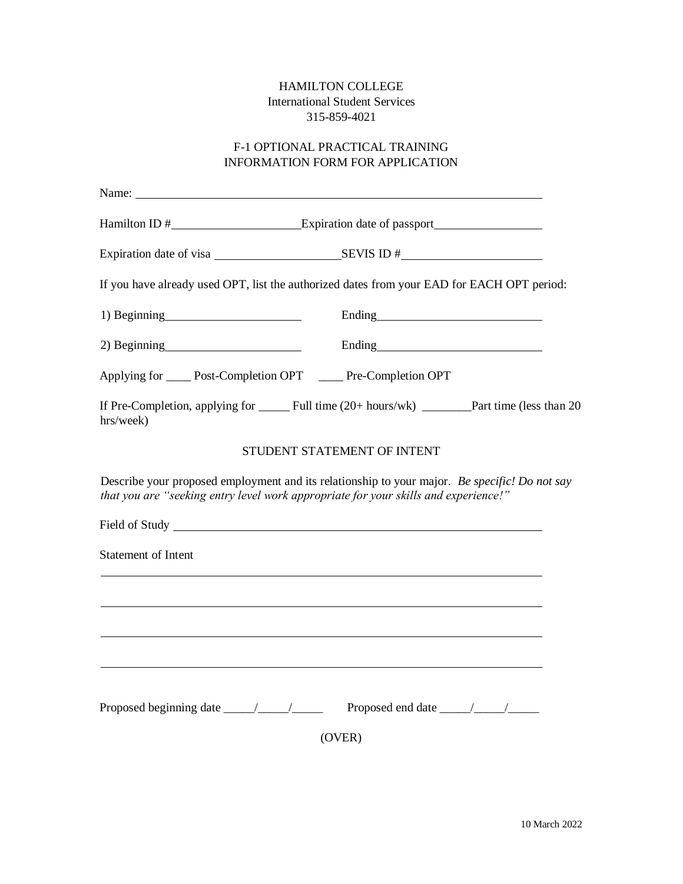## HAMILTON COLLEGE International Student Services 315-859-4021

## F-1 OPTIONAL PRACTICAL TRAINING INFORMATION FORM FOR APPLICATION

| Name:                                                            |                                                                                                                                                                                                                                     |
|------------------------------------------------------------------|-------------------------------------------------------------------------------------------------------------------------------------------------------------------------------------------------------------------------------------|
|                                                                  |                                                                                                                                                                                                                                     |
|                                                                  |                                                                                                                                                                                                                                     |
|                                                                  | If you have already used OPT, list the authorized dates from your EAD for EACH OPT period:                                                                                                                                          |
| 1) Beginning                                                     | Ending <u>and</u> the state of the state of the state of the state of the state of the state of the state of the state of the state of the state of the state of the state of the state of the state of the state of the state of t |
| $2)$ Beginning                                                   |                                                                                                                                                                                                                                     |
| Applying for _____ Post-Completion OPT ______ Pre-Completion OPT |                                                                                                                                                                                                                                     |
| hrs/week)                                                        |                                                                                                                                                                                                                                     |
|                                                                  | STUDENT STATEMENT OF INTENT                                                                                                                                                                                                         |
|                                                                  | Describe your proposed employment and its relationship to your major. Be specific! Do not say<br>that you are "seeking entry level work appropriate for your skills and experience!"                                                |
|                                                                  |                                                                                                                                                                                                                                     |
| <b>Statement of Intent</b>                                       |                                                                                                                                                                                                                                     |
|                                                                  |                                                                                                                                                                                                                                     |
|                                                                  |                                                                                                                                                                                                                                     |
|                                                                  |                                                                                                                                                                                                                                     |
|                                                                  |                                                                                                                                                                                                                                     |
|                                                                  |                                                                                                                                                                                                                                     |
|                                                                  | (OVER)                                                                                                                                                                                                                              |